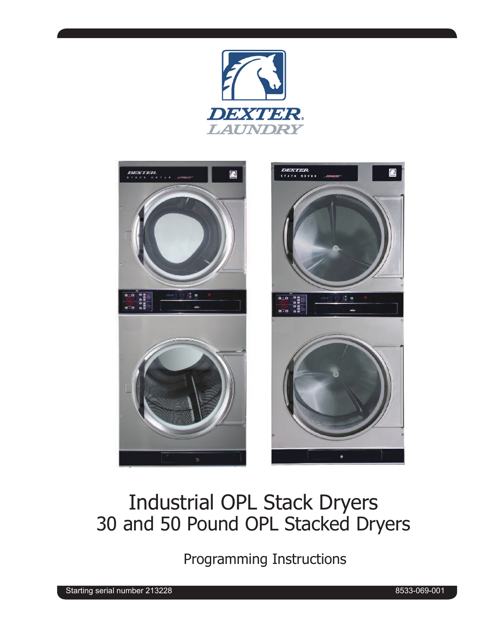



# Industrial OPL Stack Dryers 30 and 50 Pound OPL Stacked Dryers

Programming Instructions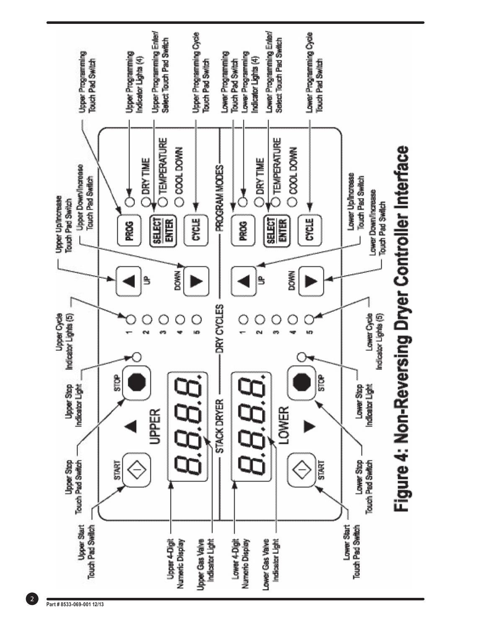

 $\boxed{2}$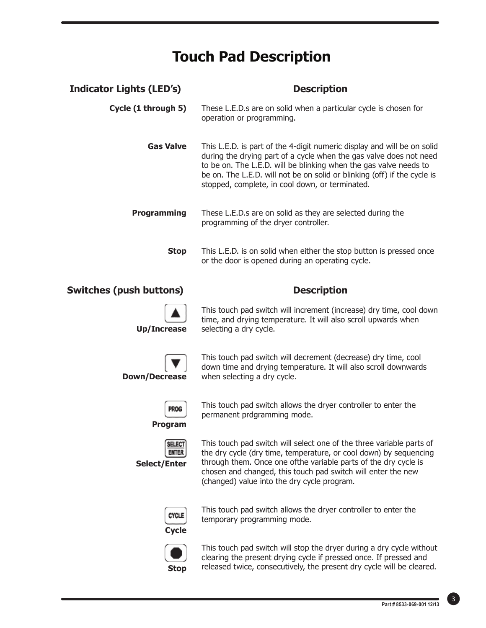## **Touch Pad Description**

| <b>Indicator Lights (LED's)</b> | <b>Description</b>                                                                                                                                                                                                                                                                                                                                |
|---------------------------------|---------------------------------------------------------------------------------------------------------------------------------------------------------------------------------------------------------------------------------------------------------------------------------------------------------------------------------------------------|
| Cycle (1 through 5)             | These L.E.D.s are on solid when a particular cycle is chosen for<br>operation or programming.                                                                                                                                                                                                                                                     |
| Gas Valve                       | This L.E.D. is part of the 4-digit numeric display and will be on solid<br>during the drying part of a cycle when the gas valve does not need<br>to be on. The L.E.D. will be blinking when the gas valve needs to<br>be on. The L.E.D. will not be on solid or blinking (off) if the cycle is<br>stopped, complete, in cool down, or terminated. |
| <b>Programming</b>              | These L.E.D.s are on solid as they are selected during the<br>programming of the dryer controller.                                                                                                                                                                                                                                                |
| <b>Stop</b>                     | This L.E.D. is on solid when either the stop button is pressed once<br>or the door is opened during an operating cycle.                                                                                                                                                                                                                           |
|                                 |                                                                                                                                                                                                                                                                                                                                                   |
| <b>Switches (push buttons)</b>  | <b>Description</b>                                                                                                                                                                                                                                                                                                                                |
| <b>Up/Increase</b>              | This touch pad switch will increment (increase) dry time, cool down<br>time, and drying temperature. It will also scroll upwards when<br>selecting a dry cycle.                                                                                                                                                                                   |
| <b>Down/Decrease</b>            | This touch pad switch will decrement (decrease) dry time, cool<br>down time and drying temperature. It will also scroll downwards<br>when selecting a dry cycle.                                                                                                                                                                                  |
| <b>PROG</b><br><b>Program</b>   | This touch pad switch allows the dryer controller to enter the<br>permanent prdgramming mode.                                                                                                                                                                                                                                                     |



This touch pad switch allows the dryer controller to enter the temporary programming mode.

(changed) value into the dry cycle program.



This touch pad switch will stop the dryer during a dry cycle without clearing the present drying cycle if pressed once. If pressed and released twice, consecutively, the present dry cycle will be cleared.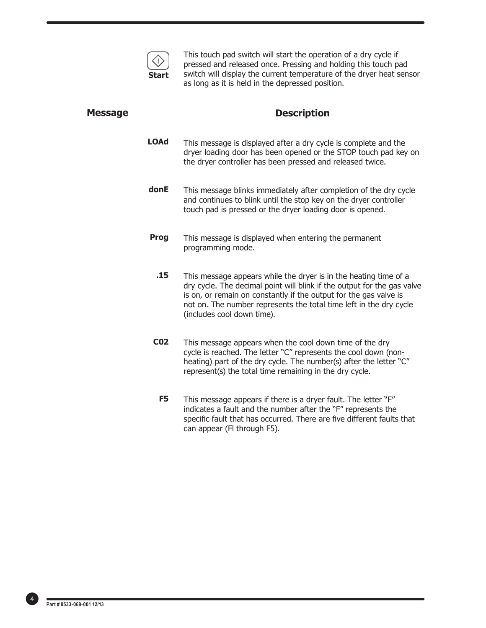

This touch pad switch will start the operation of a dry cycle if pressed and released once. Pressing and holding this touch pad switch will display the current temperature of the dryer heat sensor as long as it is held in the depressed position.

#### **Message**

#### **Description**

- This message is displayed after a dry cycle is complete and the dryer loading door has been opened or the STOP touch pad key on the dryer controller has been pressed and released twice. **LOAd**
- This message blinks immediately after completion of the dry cycle and continues to blink until the stop key on the dryer controller touch pad is pressed or the dryer loading door is opened. **donE**
- This message is displayed when entering the permanent programming mode. **Prog**
	- This message appears while the dryer is in the heating time of a dry cycle. The decimal point will blink if the output for the gas valve is on, or remain on constantly if the output for the gas valve is not on. The number represents the total time left in the dry cycle (includes cool down time). **.15**
- This message appears when the cool down time of the dry cycle is reached. The letter "C" represents the cool down (nonheating) part of the dry cycle. The number(s) after the letter "C" represent(s) the total time remaining in the dry cycle. **C02**
	- This message appears if there is a dryer fault. The letter "F" indicates a fault and the number after the "F" represents the specific fault that has occurred. There are five different faults that can appear (Fl through F5). **F5**

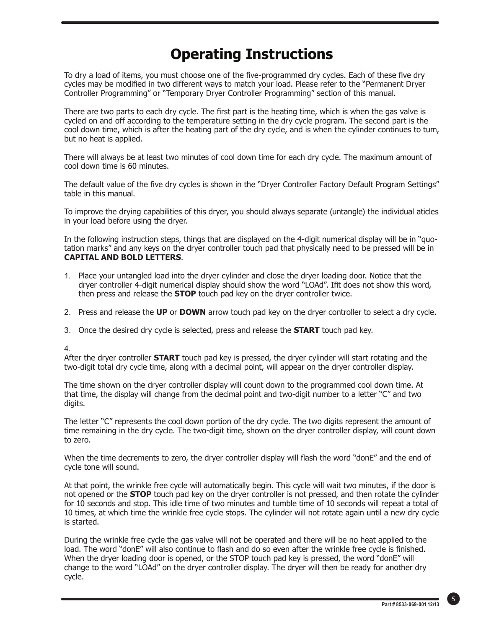# **Operating Instructions**

To dry a load of items, you must choose one of the five-programmed dry cycles. Each of these five dry cycles may be modified in two different ways to match your load. Please refer to the "Permanent Dryer" Controller Programming" or "Temporary Dryer Controller Programming" section of this manual.

There are two parts to each dry cycle. The first part is the heating time, which is when the gas valve is cycled on and off according to the temperature setting in the dry cycle program. The second part is the cool down time, which is after the heating part of the dry cycle, and is when the cylinder continues to tum, but no heat is applied.

There will always be at least two minutes of cool down time for each dry cycle. The maximum amount of cool down time is 60 minutes.

The default value of the five dry cycles is shown in the "Dryer Controller Factory Default Program Settings" table in this manual.

To improve the drying capabilities of this dryer, you should always separate (untangle) the individual aticles in your load before using the dryer.

In the following instruction steps, things that are displayed on the 4-digit numerical display will be in "quotation marks" and any keys on the dryer controller touch pad that physically need to be pressed will be in **CAPITAL AND BOLD LETTERS**.

- 1. Place your untangled load into the dryer cylinder and close the dryer loading door. Notice that the dryer controller 4-digit numerical display should show the word "LOAd". If it does not show this word, then press and release the **STOP** touch pad key on the dryer controller twice.
- 2. Press and release the **UP** or **DOWN** arrow touch pad key on the dryer controller to select a dry cycle.
- 3. Once the desired dry cycle is selected, press and release the **START** touch pad key.

4.

After the dryer controller **START** touch pad key is pressed, the dryer cylinder will start rotating and the two-digit total dry cycle time, along with a decimal point, will appear on the dryer controller display.

The time shown on the dryer controller display will count down to the programmed cool down time. At that time, the display will change from the decimal point and two-digit number to a letter "C" and two digits.

The letter "C" represents the cool down portion of the dry cycle. The two digits represent the amount of time remaining in the dry cycle. The two-digit time, shown on the dryer controller display, will count down to zero.

When the time decrements to zero, the dryer controller display will flash the word "donE" and the end of cycle tone will sound.

At that point, the wrinkle free cycle will automatically begin. This cycle will wait two minutes, if the door is not opened or the **STOP** touch pad key on the dryer controller is not pressed, and then rotate the cylinder for 10 seconds and stop. This idle time of two minutes and tumble time of 10 seconds will repeat a total of 10 times, at which time the wrinkle free cycle stops. The cylinder will not rotate again until a new dry cycle is started.

During the wrinkle free cycle the gas valve will not be operated and there will be no heat applied to the load. The word "donE" will also continue to flash and do so even after the wrinkle free cycle is finished. When the dryer loading door is opened, or the STOP touch pad key is pressed, the word "donE" will change to the word "LOAd" on the dryer controller display. The dryer will then be ready for another dry cycle.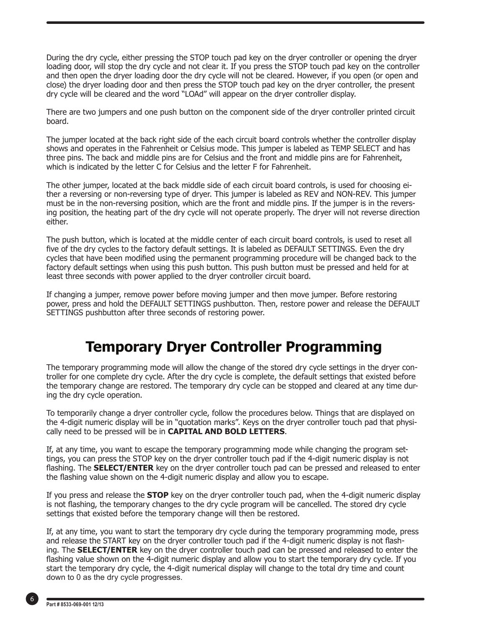During the dry cycle, either pressing the STOP touch pad key on the dryer controller or opening the dryer loading door, will stop the dry cycle and not clear it. If you press the STOP touch pad key on the controller and then open the dryer loading door the dry cycle will not be cleared. However, if you open (or open and close) the dryer loading door and then press the STOP touch pad key on the dryer controller, the present dry cycle will be cleared and the word "LOAd" will appear on the dryer controller display.

There are two jumpers and one push button on the component side of the dryer controller printed circuit board.

The jumper located at the back right side of the each circuit board controls whether the controller display shows and operates in the Fahrenheit or Celsius mode. This jumper is labeled as TEMP SELECT and has three pins. The back and middle pins are for Celsius and the front and middle pins are for Fahrenheit, which is indicated by the letter C for Celsius and the letter F for Fahrenheit.

The other jumper, located at the back middle side of each circuit board controls, is used for choosing either a reversing or non-reversing type of dryer. This jumper is labeled as REV and NON-REV. This jumper must be in the non-reversing position, which are the front and middle pins. If the jumper is in the reversing position, the heating part of the dry cycle will not operate properly. The dryer will not reverse direction either.

The push button, which is located at the middle center of each circuit board controls, is used to reset all five of the dry cycles to the factory default settings. It is labeled as DEFAULT SETTINGS. Even the dry cycles that have been modified using the permanent programming procedure will be changed back to the factory default settings when using this push button. This push button must be pressed and held for at least three seconds with power applied to the dryer controller circuit board.

If changing a jumper, remove power before moving jumper and then move jumper. Before restoring power, press and hold the DEFAULT SETTINGS pushbutton. Then, restore power and release the DEFAULT SETTINGS pushbutton after three seconds of restoring power.

### **Temporary Dryer Controller Programming**

The temporary programming mode will allow the change of the stored dry cycle settings in the dryer controller for one complete dry cycle. After the dry cycle is complete, the default settings that existed before the temporary change are restored. The temporary dry cycle can be stopped and cleared at any time during the dry cycle operation.

To temporarily change a dryer controller cycle, follow the procedures below. Things that are displayed on the 4-digit numeric display will be in "quotation marks". Keys on the dryer controller touch pad that physically need to be pressed will be in **CAPITAL AND BOLD LETTERS**.

If, at any time, you want to escape the temporary programming mode while changing the program settings, you can press the STOP key on the dryer controller touch pad if the 4-digit numeric display is not flashing. The **SELECT/ENTER** key on the dryer controller touch pad can be pressed and released to enter the flashing value shown on the 4-digit numeric display and allow you to escape.

If you press and release the **STOP** key on the dryer controller touch pad, when the 4-digit numeric display is not flashing, the temporary changes to the dry cycle program will be cancelled. The stored dry cycle settings that existed before the temporary change will then be restored.

If, at any time, you want to start the temporary dry cycle during the temporary programming mode, press and release the START key on the dryer controller touch pad if the 4-digit numeric display is not flashing. The **SELECT/ENTER** key on the dryer controller touch pad can be pressed and released to enter the flashing value shown on the 4-digit numeric display and allow you to start the temporary dry cycle. If you start the temporary dry cycle, the 4-digit numerical display will change to the total dry time and count down to 0 as the dry cycle progresses.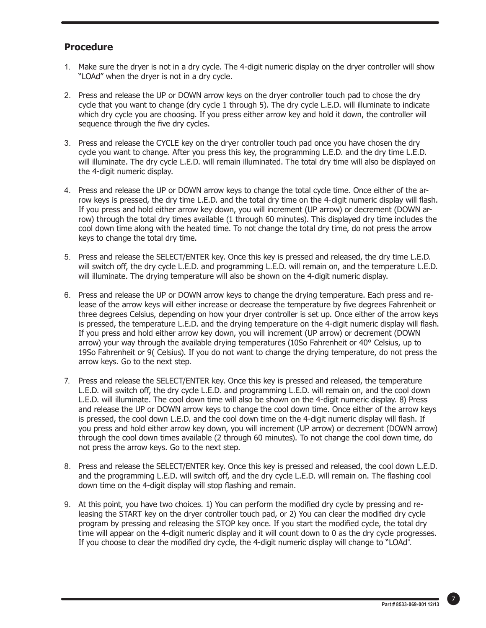### **Procedure**

- 1. Make sure the dryer is not in a dry cycle. The 4-digit numeric display on the dryer controller will show "LOAd" when the dryer is not in a dry cycle.
- 2. Press and release the UP or DOWN arrow keys on the dryer controller touch pad to chose the dry cycle that you want to change (dry cycle 1 through 5). The dry cycle L.E.D. will illuminate to indicate which dry cycle you are choosing. If you press either arrow key and hold it down, the controller will sequence through the five dry cycles.
- 3. Press and release the CYCLE key on the dryer controller touch pad once you have chosen the dry cycle you want to change. After you press this key, the programming L.E.D. and the dry time L.E.D. will illuminate. The dry cycle L.E.D. will remain illuminated. The total dry time will also be displayed on the 4-digit numeric display.
- 4. Press and release the UP or DOWN arrow keys to change the total cycle time. Once either of the arrow keys is pressed, the dry time L.E.D. and the total dry time on the 4-digit numeric display will flash. If you press and hold either arrow key down, you will increment (UP arrow) or decrement (DOWN arrow) through the total dry times available (1 through 60 minutes). This displayed dry time includes the cool down time along with the heated time. To not change the total dry time, do not press the arrow keys to change the total dry time.
- 5. Press and release the SELECT/ENTER key. Once this key is pressed and released, the dry time L.E.D. will switch off, the dry cycle L.E.D. and programming L.E.D. will remain on, and the temperature L.E.D. will illuminate. The drying temperature will also be shown on the 4-digit numeric display.
- 6. Press and release the UP or DOWN arrow keys to change the drying temperature. Each press and release of the arrow keys will either increase or decrease the temperature by five degrees Fahrenheit or three degrees Celsius, depending on how your dryer controller is set up. Once either of the arrow keys is pressed, the temperature L.E.D. and the drying temperature on the 4-digit numeric display will flash. If you press and hold either arrow key down, you will increment (UP arrow) or decrement (DOWN arrow) your way through the available drying temperatures (10So Fahrenheit or 40° Celsius, up to 19So Fahrenheit or 9( Celsius). If you do not want to change the drying temperature, do not press the arrow keys. Go to the next step.
- 7. Press and release the SELECT/ENTER key. Once this key is pressed and released, the temperature L.E.D. will switch off, the dry cycle L.E.D. and programming L.E.D. will remain on, and the cool down L.E.D. will illuminate. The cool down time will also be shown on the 4-digit numeric display. 8) Press and release the UP or DOWN arrow keys to change the cool down time. Once either of the arrow keys is pressed, the cool down L.E.D. and the cool down time on the 4-digit numeric display will flash. If you press and hold either arrow key down, you will increment (UP arrow) or decrement (DOWN arrow) through the cool down times available (2 through 60 minutes). To not change the cool down time, do not press the arrow keys. Go to the next step.
- 8. Press and release the SELECT/ENTER key. Once this key is pressed and released, the cool down L.E.D. and the programming L.E.D. will switch off, and the dry cycle L.E.D. will remain on. The flashing cool down time on the 4-digit display will stop flashing and remain.
- 9. At this point, you have two choices. 1) You can perform the modified dry cycle by pressing and releasing the START key on the dryer controller touch pad, or 2) You can clear the modified dry cycle program by pressing and releasing the STOP key once. If you start the modified cycle, the total dry time will appear on the 4-digit numeric display and it will count down to 0 as the dry cycle progresses. If you choose to clear the modified dry cycle, the 4-digit numeric display will change to "LOAd".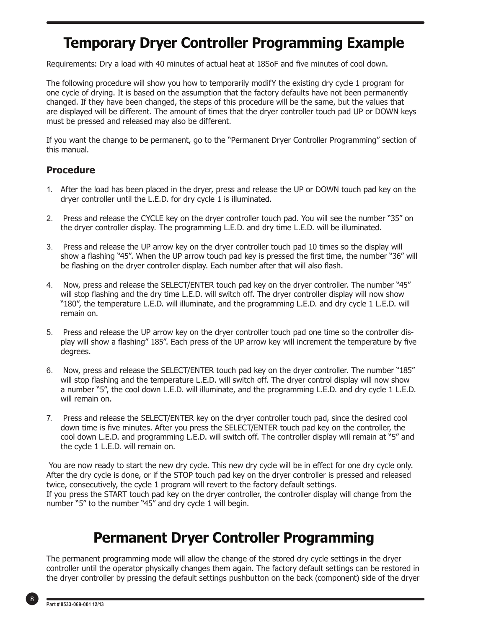### **Temporary Dryer Controller Programming Example**

Requirements: Dry a load with 40 minutes of actual heat at 18SoF and five minutes of cool down.

The following procedure will show you how to temporarily modifY the existing dry cycle 1 program for one cycle of drying. It is based on the assumption that the factory defaults have not been permanently changed. If they have been changed, the steps of this procedure will be the same, but the values that are displayed will be different. The amount of times that the dryer controller touch pad UP or DOWN keys must be pressed and released may also be different.

If you want the change to be permanent, go to the "Permanent Dryer Controller Programming" section of this manual.

#### **Procedure**

- 1. After the load has been placed in the dryer, press and release the UP or DOWN touch pad key on the dryer controller until the L.E.D. for dry cycle 1 is illuminated.
- 2. Press and release the CYCLE key on the dryer controller touch pad. You will see the number "35" on the dryer controller display. The programming L.E.D. and dry time L.E.D. will be illuminated.
- 3. Press and release the UP arrow key on the dryer controller touch pad 10 times so the display will show a flashing "45". When the UP arrow touch pad key is pressed the first time, the number "36" will be flashing on the dryer controller display. Each number after that will also flash.
- 4. Now, press and release the SELECT/ENTER touch pad key on the dryer controller. The number "45" will stop flashing and the dry time L.E.D. will switch off. The dryer controller display will now show "180", the temperature L.E.D. will illuminate, and the programming L.E.D. and dry cycle 1 L.E.D. will remain on.
- 5. Press and release the UP arrow key on the dryer controller touch pad one time so the controller display will show a flashing" 185". Each press of the UP arrow key will increment the temperature by five degrees.
- 6. Now, press and release the SELECT/ENTER touch pad key on the dryer controller. The number "185" will stop flashing and the temperature L.E.D. will switch off. The dryer control display will now show a number "5", the cool down L.E.D. will illuminate, and the programming L.E.D. and dry cycle 1 L.E.D. will remain on.
- 7. Press and release the SELECT/ENTER key on the dryer controller touch pad, since the desired cool down time is five minutes. After you press the SELECT/ENTER touch pad key on the controller, the cool down L.E.D. and programming L.E.D. will switch off. The controller display will remain at "5" and the cycle 1 L.E.D. will remain on.

 You are now ready to start the new dry cycle. This new dry cycle will be in effect for one dry cycle only. After the dry cycle is done, or if the STOP touch pad key on the dryer controller is pressed and released twice, consecutively, the cycle 1 program will revert to the factory default settings. If you press the START touch pad key on the dryer controller, the controller display will change from the number "5" to the number "45" and dry cycle 1 will begin.

### **Permanent Dryer Controller Programming**

The permanent programming mode will allow the change of the stored dry cycle settings in the dryer controller until the operator physically changes them again. The factory default settings can be restored in the dryer controller by pressing the default settings pushbutton on the back (component) side of the dryer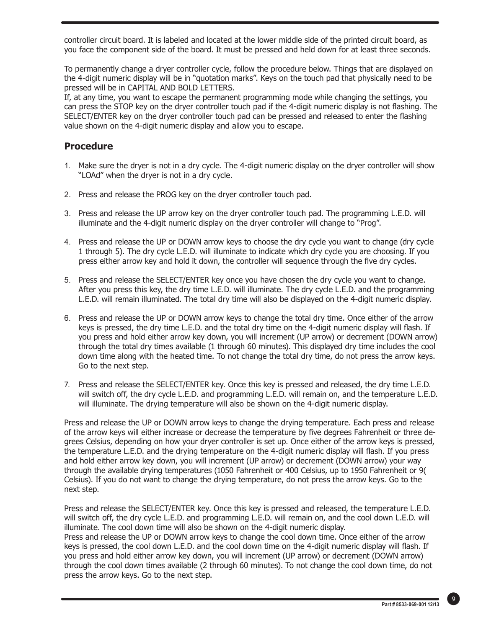controller circuit board. It is labeled and located at the lower middle side of the printed circuit board, as you face the component side of the board. It must be pressed and held down for at least three seconds.

To permanently change a dryer controller cycle, follow the procedure below. Things that are displayed on the 4-digit numeric display will be in "quotation marks". Keys on the touch pad that physically need to be pressed will be in CAPITAL AND BOLD LETTERS.

If, at any time, you want to escape the permanent programming mode while changing the settings, you can press the STOP key on the dryer controller touch pad if the 4-digit numeric display is not flashing. The SELECT/ENTER key on the dryer controller touch pad can be pressed and released to enter the flashing value shown on the 4-digit numeric display and allow you to escape.

### **Procedure**

- 1. Make sure the dryer is not in a dry cycle. The 4-digit numeric display on the dryer controller will show "LOAd" when the dryer is not in a dry cycle.
- 2. Press and release the PROG key on the dryer controller touch pad.
- 3. Press and release the UP arrow key on the dryer controller touch pad. The programming L.E.D. will illuminate and the 4-digit numeric display on the dryer controller will change to "Prog".
- 4. Press and release the UP or DOWN arrow keys to choose the dry cycle you want to change (dry cycle 1 through 5). The dry cycle L.E.D. will illuminate to indicate which dry cycle you are choosing. If you press either arrow key and hold it down, the controller will sequence through the five dry cycles.
- 5. Press and release the SELECT/ENTER key once you have chosen the dry cycle you want to change. After you press this key, the dry time L.E.D. will illuminate. The dry cycle L.E.D. and the programming L.E.D. will remain illuminated. The total dry time will also be displayed on the 4-digit numeric display.
- 6. Press and release the UP or DOWN arrow keys to change the total dry time. Once either of the arrow keys is pressed, the dry time L.E.D. and the total dry time on the 4-digit numeric display will flash. If you press and hold either arrow key down, you will increment (UP arrow) or decrement (DOWN arrow) through the total dry times available (1 through 60 minutes). This displayed dry time includes the cool down time along with the heated time. To not change the total dry time, do not press the arrow keys. Go to the next step.
- 7. Press and release the SELECT/ENTER key. Once this key is pressed and released, the dry time L.E.D. will switch off, the dry cycle L.E.D. and programming L.E.D. will remain on, and the temperature L.E.D. will illuminate. The drying temperature will also be shown on the 4-digit numeric display.

Press and release the UP or DOWN arrow keys to change the drying temperature. Each press and release of the arrow keys will either increase or decrease the temperature by five degrees Fahrenheit or three degrees Celsius, depending on how your dryer controller is set up. Once either of the arrow keys is pressed, the temperature L.E.D. and the drying temperature on the 4-digit numeric display will flash. If you press and hold either arrow key down, you will increment (UP arrow) or decrement (DOWN arrow) your way through the available drying temperatures (1050 Fahrenheit or 400 Celsius, up to 1950 Fahrenheit or 9( Celsius). If you do not want to change the drying temperature, do not press the arrow keys. Go to the next step.

Press and release the SELECT/ENTER key. Once this key is pressed and released, the temperature L.E.D. will switch off, the dry cycle L.E.D. and programming L.E.D. will remain on, and the cool down L.E.D. will illuminate. The cool down time will also be shown on the 4-digit numeric display.

Press and release the UP or DOWN arrow keys to change the cool down time. Once either of the arrow keys is pressed, the cool down L.E.D. and the cool down time on the 4-digit numeric display will flash. If you press and hold either arrow key down, you will increment (UP arrow) or decrement (DOWN arrow) through the cool down times available (2 through 60 minutes). To not change the cool down time, do not press the arrow keys. Go to the next step.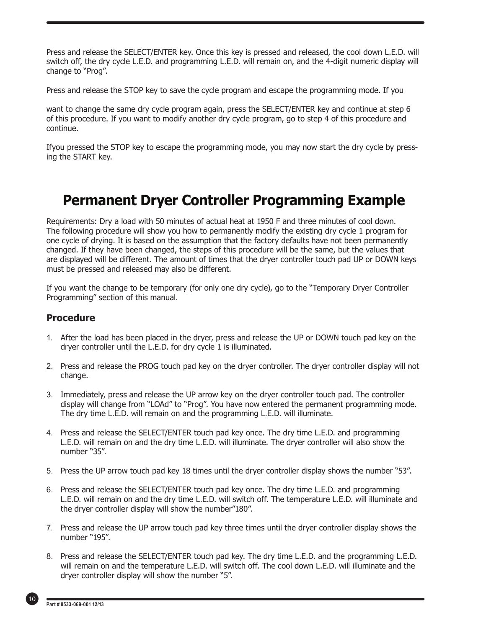Press and release the SELECT/ENTER key. Once this key is pressed and released, the cool down L.E.D. will switch off, the dry cycle L.E.D. and programming L.E.D. will remain on, and the 4-digit numeric display will change to "Prog".

Press and release the STOP key to save the cycle program and escape the programming mode. If you

want to change the same dry cycle program again, press the SELECT/ENTER key and continue at step 6 of this procedure. If you want to modify another dry cycle program, go to step 4 of this procedure and continue.

Ifyou pressed the STOP key to escape the programming mode, you may now start the dry cycle by pressing the START key.

### **Permanent Dryer Controller Programming Example**

Requirements: Dry a load with 50 minutes of actual heat at 1950 F and three minutes of cool down. The following procedure will show you how to permanently modify the existing dry cycle 1 program for one cycle of drying. It is based on the assumption that the factory defaults have not been permanently changed. If they have been changed, the steps of this procedure will be the same, but the values that are displayed will be different. The amount of times that the dryer controller touch pad UP or DOWN keys must be pressed and released may also be different.

If you want the change to be temporary (for only one dry cycle), go to the "Temporary Dryer Controller Programming" section of this manual.

#### **Procedure**

- 1. After the load has been placed in the dryer, press and release the UP or DOWN touch pad key on the dryer controller until the L.E.D. for dry cycle 1 is illuminated.
- 2. Press and release the PROG touch pad key on the dryer controller. The dryer controller display will not change.
- 3. Immediately, press and release the UP arrow key on the dryer controller touch pad. The controller display will change from "LOAd" to "Prog". You have now entered the permanent programming mode. The dry time L.E.D. will remain on and the programming L.E.D. will illuminate.
- 4. Press and release the SELECT/ENTER touch pad key once. The dry time L.E.D. and programming L.E.D. will remain on and the dry time L.E.D. will illuminate. The dryer controller will also show the number "35".
- 5. Press the UP arrow touch pad key 18 times until the dryer controller display shows the number "53".
- 6. Press and release the SELECT/ENTER touch pad key once. The dry time L.E.D. and programming L.E.D. will remain on and the dry time L.E.D. will switch off. The temperature L.E.D. will illuminate and the dryer controller display will show the number"180".
- 7. Press and release the UP arrow touch pad key three times until the dryer controller display shows the number "195".
- 8. Press and release the SELECT/ENTER touch pad key. The dry time L.E.D. and the programming L.E.D. will remain on and the temperature L.E.D. will switch off. The cool down L.E.D. will illuminate and the dryer controller display will show the number "5".